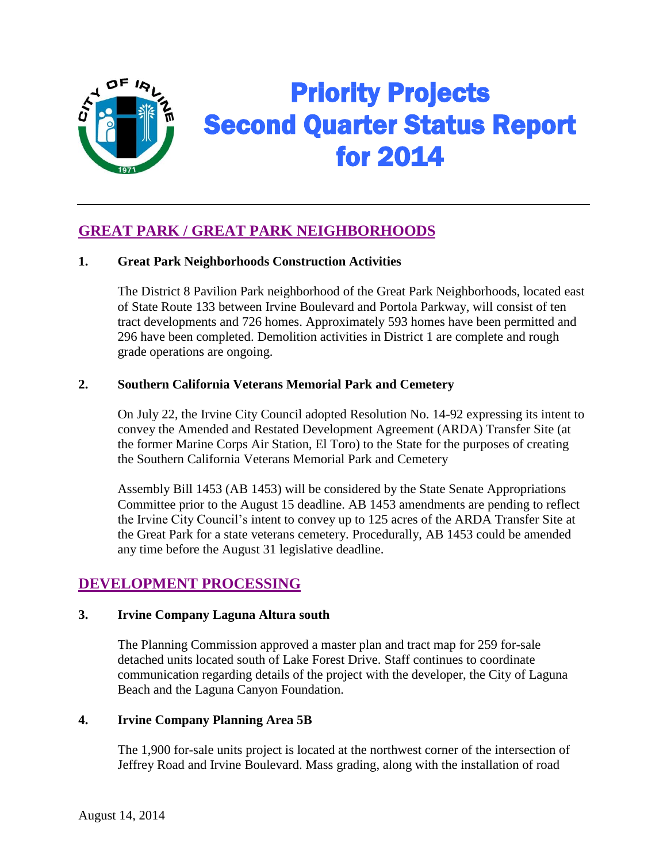

# Priority Projects Second Quarter Status Report for 2014

# **GREAT PARK / GREAT PARK NEIGHBORHOODS**

## **1. Great Park Neighborhoods Construction Activities**

The District 8 Pavilion Park neighborhood of the Great Park Neighborhoods, located east of State Route 133 between Irvine Boulevard and Portola Parkway, will consist of ten tract developments and 726 homes. Approximately 593 homes have been permitted and 296 have been completed. Demolition activities in District 1 are complete and rough grade operations are ongoing.

#### **2. Southern California Veterans Memorial Park and Cemetery**

On July 22, the Irvine City Council adopted Resolution No. 14-92 expressing its intent to convey the Amended and Restated Development Agreement (ARDA) Transfer Site (at the former Marine Corps Air Station, El Toro) to the State for the purposes of creating the Southern California Veterans Memorial Park and Cemetery

Assembly Bill 1453 (AB 1453) will be considered by the State Senate Appropriations Committee prior to the August 15 deadline. AB 1453 amendments are pending to reflect the Irvine City Council's intent to convey up to 125 acres of the ARDA Transfer Site at the Great Park for a state veterans cemetery. Procedurally, AB 1453 could be amended any time before the August 31 legislative deadline.

## **DEVELOPMENT PROCESSING**

#### **3. Irvine Company Laguna Altura south**

The Planning Commission approved a master plan and tract map for 259 for-sale detached units located south of Lake Forest Drive. Staff continues to coordinate communication regarding details of the project with the developer, the City of Laguna Beach and the Laguna Canyon Foundation.

#### **4. Irvine Company Planning Area 5B**

The 1,900 for-sale units project is located at the northwest corner of the intersection of Jeffrey Road and Irvine Boulevard. Mass grading, along with the installation of road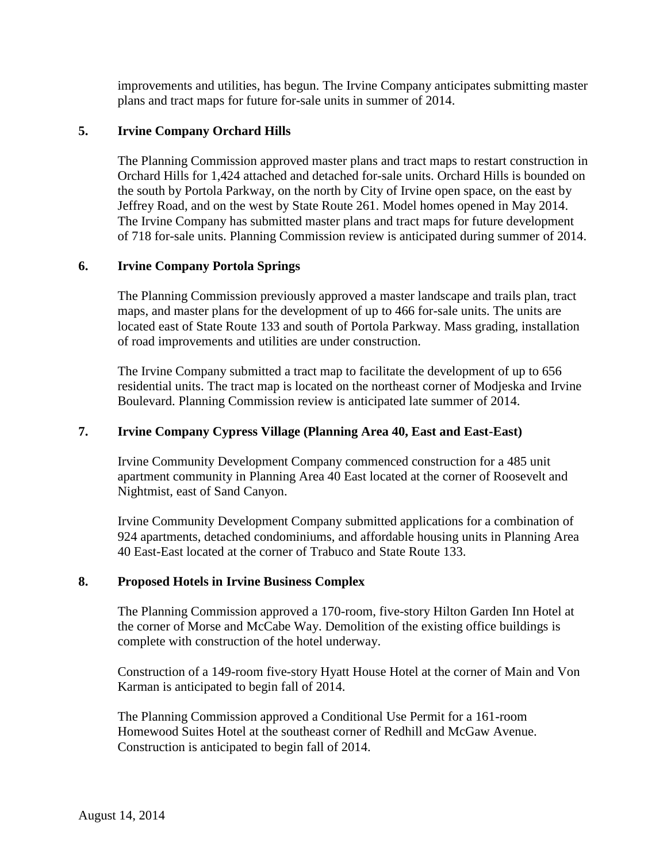improvements and utilities, has begun. The Irvine Company anticipates submitting master plans and tract maps for future for-sale units in summer of 2014.

#### **5. Irvine Company Orchard Hills**

The Planning Commission approved master plans and tract maps to restart construction in Orchard Hills for 1,424 attached and detached for-sale units. Orchard Hills is bounded on the south by Portola Parkway, on the north by City of Irvine open space, on the east by Jeffrey Road, and on the west by State Route 261. Model homes opened in May 2014. The Irvine Company has submitted master plans and tract maps for future development of 718 for-sale units. Planning Commission review is anticipated during summer of 2014.

#### **6. Irvine Company Portola Springs**

The Planning Commission previously approved a master landscape and trails plan, tract maps, and master plans for the development of up to 466 for-sale units. The units are located east of State Route 133 and south of Portola Parkway. Mass grading, installation of road improvements and utilities are under construction.

The Irvine Company submitted a tract map to facilitate the development of up to 656 residential units. The tract map is located on the northeast corner of Modjeska and Irvine Boulevard. Planning Commission review is anticipated late summer of 2014.

#### **7. Irvine Company Cypress Village (Planning Area 40, East and East-East)**

Irvine Community Development Company commenced construction for a 485 unit apartment community in Planning Area 40 East located at the corner of Roosevelt and Nightmist, east of Sand Canyon.

Irvine Community Development Company submitted applications for a combination of 924 apartments, detached condominiums, and affordable housing units in Planning Area 40 East-East located at the corner of Trabuco and State Route 133.

#### **8. Proposed Hotels in Irvine Business Complex**

The Planning Commission approved a 170-room, five-story Hilton Garden Inn Hotel at the corner of Morse and McCabe Way. Demolition of the existing office buildings is complete with construction of the hotel underway.

Construction of a 149-room five-story Hyatt House Hotel at the corner of Main and Von Karman is anticipated to begin fall of 2014.

The Planning Commission approved a Conditional Use Permit for a 161-room Homewood Suites Hotel at the southeast corner of Redhill and McGaw Avenue. Construction is anticipated to begin fall of 2014.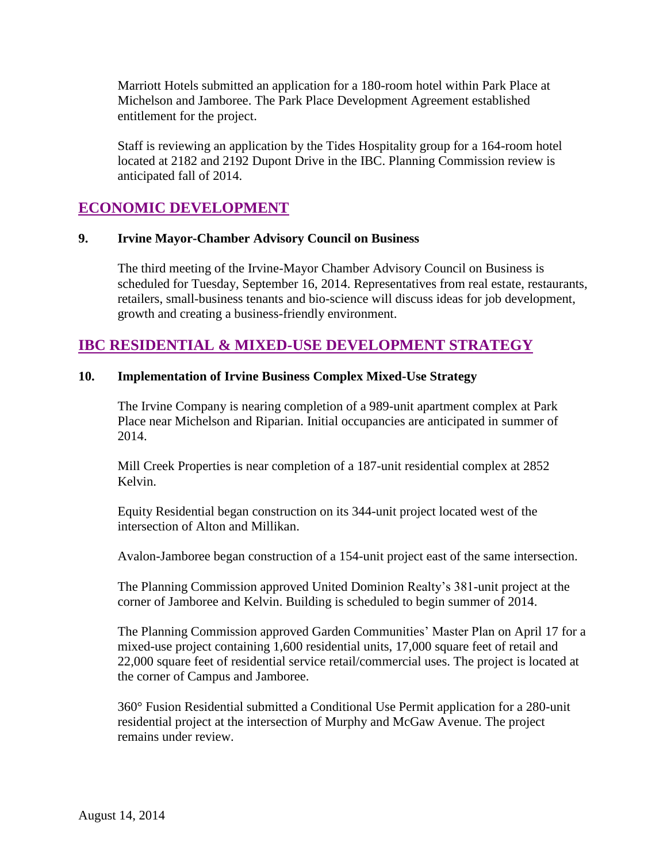Marriott Hotels submitted an application for a 180-room hotel within Park Place at Michelson and Jamboree. The Park Place Development Agreement established entitlement for the project.

Staff is reviewing an application by the Tides Hospitality group for a 164-room hotel located at 2182 and 2192 Dupont Drive in the IBC. Planning Commission review is anticipated fall of 2014.

# **ECONOMIC DEVELOPMENT**

#### **9. Irvine Mayor-Chamber Advisory Council on Business**

The third meeting of the Irvine-Mayor Chamber Advisory Council on Business is scheduled for Tuesday, September 16, 2014. Representatives from real estate, restaurants, retailers, small-business tenants and bio-science will discuss ideas for job development, growth and creating a business-friendly environment.

## **IBC RESIDENTIAL & MIXED-USE DEVELOPMENT STRATEGY**

#### **10. Implementation of Irvine Business Complex Mixed-Use Strategy**

The Irvine Company is nearing completion of a 989-unit apartment complex at Park Place near Michelson and Riparian. Initial occupancies are anticipated in summer of 2014.

Mill Creek Properties is near completion of a 187-unit residential complex at 2852 Kelvin.

Equity Residential began construction on its 344-unit project located west of the intersection of Alton and Millikan.

Avalon-Jamboree began construction of a 154-unit project east of the same intersection.

The Planning Commission approved United Dominion Realty's 381-unit project at the corner of Jamboree and Kelvin. Building is scheduled to begin summer of 2014.

The Planning Commission approved Garden Communities' Master Plan on April 17 for a mixed-use project containing 1,600 residential units, 17,000 square feet of retail and 22,000 square feet of residential service retail/commercial uses. The project is located at the corner of Campus and Jamboree.

360° Fusion Residential submitted a Conditional Use Permit application for a 280-unit residential project at the intersection of Murphy and McGaw Avenue. The project remains under review.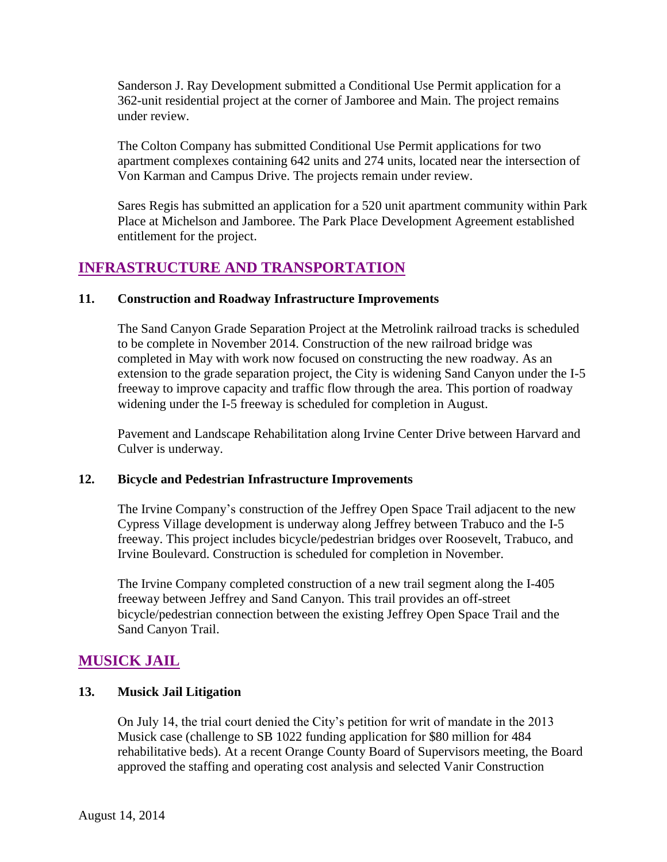Sanderson J. Ray Development submitted a Conditional Use Permit application for a 362-unit residential project at the corner of Jamboree and Main. The project remains under review.

The Colton Company has submitted Conditional Use Permit applications for two apartment complexes containing 642 units and 274 units, located near the intersection of Von Karman and Campus Drive. The projects remain under review.

Sares Regis has submitted an application for a 520 unit apartment community within Park Place at Michelson and Jamboree. The Park Place Development Agreement established entitlement for the project.

# **INFRASTRUCTURE AND TRANSPORTATION**

## **11. Construction and Roadway Infrastructure Improvements**

The Sand Canyon Grade Separation Project at the Metrolink railroad tracks is scheduled to be complete in November 2014. Construction of the new railroad bridge was completed in May with work now focused on constructing the new roadway. As an extension to the grade separation project, the City is widening Sand Canyon under the I-5 freeway to improve capacity and traffic flow through the area. This portion of roadway widening under the I-5 freeway is scheduled for completion in August.

Pavement and Landscape Rehabilitation along Irvine Center Drive between Harvard and Culver is underway.

## **12. Bicycle and Pedestrian Infrastructure Improvements**

The Irvine Company's construction of the Jeffrey Open Space Trail adjacent to the new Cypress Village development is underway along Jeffrey between Trabuco and the I-5 freeway. This project includes bicycle/pedestrian bridges over Roosevelt, Trabuco, and Irvine Boulevard. Construction is scheduled for completion in November.

The Irvine Company completed construction of a new trail segment along the I-405 freeway between Jeffrey and Sand Canyon. This trail provides an off-street bicycle/pedestrian connection between the existing Jeffrey Open Space Trail and the Sand Canyon Trail.

## **MUSICK JAIL**

## **13. Musick Jail Litigation**

On July 14, the trial court denied the City's petition for writ of mandate in the 2013 Musick case (challenge to SB 1022 funding application for \$80 million for 484 rehabilitative beds). At a recent Orange County Board of Supervisors meeting, the Board approved the staffing and operating cost analysis and selected Vanir Construction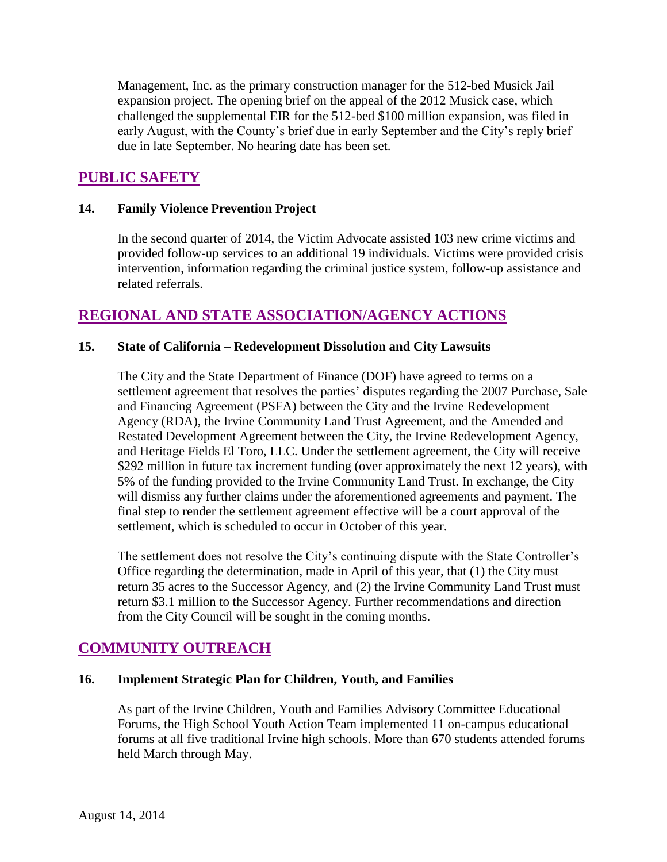Management, Inc. as the primary construction manager for the 512-bed Musick Jail expansion project. The opening brief on the appeal of the 2012 Musick case, which challenged the supplemental EIR for the 512-bed \$100 million expansion, was filed in early August, with the County's brief due in early September and the City's reply brief due in late September. No hearing date has been set.

# **PUBLIC SAFETY**

#### **14. Family Violence Prevention Project**

In the second quarter of 2014, the Victim Advocate assisted 103 new crime victims and provided follow-up services to an additional 19 individuals. Victims were provided crisis intervention, information regarding the criminal justice system, follow-up assistance and related referrals.

## **REGIONAL AND STATE ASSOCIATION/AGENCY ACTIONS**

## **15. State of California – Redevelopment Dissolution and City Lawsuits**

The City and the State Department of Finance (DOF) have agreed to terms on a settlement agreement that resolves the parties' disputes regarding the 2007 Purchase, Sale and Financing Agreement (PSFA) between the City and the Irvine Redevelopment Agency (RDA), the Irvine Community Land Trust Agreement, and the Amended and Restated Development Agreement between the City, the Irvine Redevelopment Agency, and Heritage Fields El Toro, LLC. Under the settlement agreement, the City will receive \$292 million in future tax increment funding (over approximately the next 12 years), with 5% of the funding provided to the Irvine Community Land Trust. In exchange, the City will dismiss any further claims under the aforementioned agreements and payment. The final step to render the settlement agreement effective will be a court approval of the settlement, which is scheduled to occur in October of this year.

The settlement does not resolve the City's continuing dispute with the State Controller's Office regarding the determination, made in April of this year, that (1) the City must return 35 acres to the Successor Agency, and (2) the Irvine Community Land Trust must return \$3.1 million to the Successor Agency. Further recommendations and direction from the City Council will be sought in the coming months.

# **COMMUNITY OUTREACH**

## **16. Implement Strategic Plan for Children, Youth, and Families**

As part of the Irvine Children, Youth and Families Advisory Committee Educational Forums, the High School Youth Action Team implemented 11 on-campus educational forums at all five traditional Irvine high schools. More than 670 students attended forums held March through May.